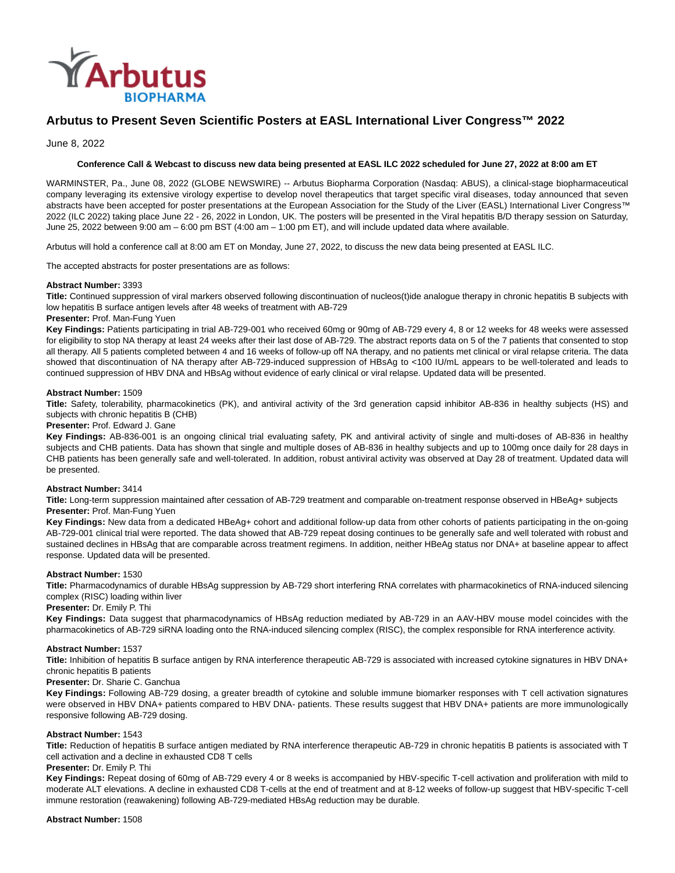

# **Arbutus to Present Seven Scientific Posters at EASL International Liver Congress™ 2022**

June 8, 2022

# **Conference Call & Webcast to discuss new data being presented at EASL ILC 2022 scheduled for June 27, 2022 at 8:00 am ET**

WARMINSTER, Pa., June 08, 2022 (GLOBE NEWSWIRE) -- Arbutus Biopharma Corporation (Nasdaq: ABUS), a clinical-stage biopharmaceutical company leveraging its extensive virology expertise to develop novel therapeutics that target specific viral diseases, today announced that seven abstracts have been accepted for poster presentations at the European Association for the Study of the Liver (EASL) International Liver Congress™ 2022 (ILC 2022) taking place June 22 - 26, 2022 in London, UK. The posters will be presented in the Viral hepatitis B/D therapy session on Saturday, June 25, 2022 between 9:00 am – 6:00 pm BST (4:00 am – 1:00 pm ET), and will include updated data where available.

Arbutus will hold a conference call at 8:00 am ET on Monday, June 27, 2022, to discuss the new data being presented at EASL ILC.

The accepted abstracts for poster presentations are as follows:

#### **Abstract Number:** 3393

**Title:** Continued suppression of viral markers observed following discontinuation of nucleos(t)ide analogue therapy in chronic hepatitis B subjects with low hepatitis B surface antigen levels after 48 weeks of treatment with AB-729

#### **Presenter:** Prof. Man-Fung Yuen

**Key Findings:** Patients participating in trial AB-729-001 who received 60mg or 90mg of AB-729 every 4, 8 or 12 weeks for 48 weeks were assessed for eligibility to stop NA therapy at least 24 weeks after their last dose of AB-729. The abstract reports data on 5 of the 7 patients that consented to stop all therapy. All 5 patients completed between 4 and 16 weeks of follow-up off NA therapy, and no patients met clinical or viral relapse criteria. The data showed that discontinuation of NA therapy after AB-729-induced suppression of HBsAg to <100 IU/mL appears to be well-tolerated and leads to continued suppression of HBV DNA and HBsAg without evidence of early clinical or viral relapse. Updated data will be presented.

#### **Abstract Number:** 1509

**Title:** Safety, tolerability, pharmacokinetics (PK), and antiviral activity of the 3rd generation capsid inhibitor AB-836 in healthy subjects (HS) and subjects with chronic hepatitis B (CHB)

# **Presenter:** Prof. Edward J. Gane

**Key Findings:** AB-836-001 is an ongoing clinical trial evaluating safety, PK and antiviral activity of single and multi-doses of AB-836 in healthy subjects and CHB patients. Data has shown that single and multiple doses of AB-836 in healthy subjects and up to 100mg once daily for 28 days in CHB patients has been generally safe and well-tolerated. In addition, robust antiviral activity was observed at Day 28 of treatment. Updated data will be presented.

#### **Abstract Number:** 3414

**Title:** Long-term suppression maintained after cessation of AB-729 treatment and comparable on-treatment response observed in HBeAg+ subjects **Presenter:** Prof. Man-Fung Yuen

**Key Findings:** New data from a dedicated HBeAg+ cohort and additional follow-up data from other cohorts of patients participating in the on-going AB-729-001 clinical trial were reported. The data showed that AB-729 repeat dosing continues to be generally safe and well tolerated with robust and sustained declines in HBsAg that are comparable across treatment regimens. In addition, neither HBeAg status nor DNA+ at baseline appear to affect response. Updated data will be presented.

# **Abstract Number:** 1530

**Title:** Pharmacodynamics of durable HBsAg suppression by AB-729 short interfering RNA correlates with pharmacokinetics of RNA-induced silencing complex (RISC) loading within liver

### **Presenter:** Dr. Emily P. Thi

**Key Findings:** Data suggest that pharmacodynamics of HBsAg reduction mediated by AB-729 in an AAV-HBV mouse model coincides with the pharmacokinetics of AB-729 siRNA loading onto the RNA-induced silencing complex (RISC), the complex responsible for RNA interference activity.

#### **Abstract Number:** 1537

**Title:** Inhibition of hepatitis B surface antigen by RNA interference therapeutic AB-729 is associated with increased cytokine signatures in HBV DNA+ chronic hepatitis B patients

# **Presenter:** Dr. Sharie C. Ganchua

**Key Findings:** Following AB-729 dosing, a greater breadth of cytokine and soluble immune biomarker responses with T cell activation signatures were observed in HBV DNA+ patients compared to HBV DNA- patients. These results suggest that HBV DNA+ patients are more immunologically responsive following AB-729 dosing.

#### **Abstract Number:** 1543

**Title:** Reduction of hepatitis B surface antigen mediated by RNA interference therapeutic AB-729 in chronic hepatitis B patients is associated with T cell activation and a decline in exhausted CD8 T cells

#### **Presenter:** Dr. Emily P. Thi

**Key Findings:** Repeat dosing of 60mg of AB-729 every 4 or 8 weeks is accompanied by HBV-specific T-cell activation and proliferation with mild to moderate ALT elevations. A decline in exhausted CD8 T-cells at the end of treatment and at 8-12 weeks of follow-up suggest that HBV-specific T-cell immune restoration (reawakening) following AB-729-mediated HBsAg reduction may be durable.

#### **Abstract Number:** 1508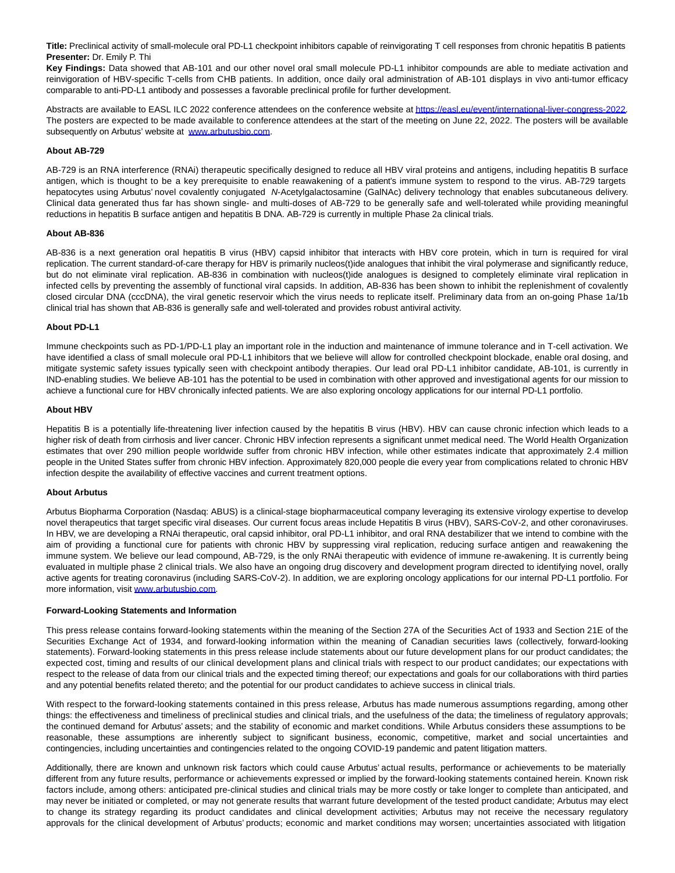**Title:** Preclinical activity of small-molecule oral PD-L1 checkpoint inhibitors capable of reinvigorating T cell responses from chronic hepatitis B patients **Presenter:** Dr. Emily P. Thi

**Key Findings:** Data showed that AB-101 and our other novel oral small molecule PD-L1 inhibitor compounds are able to mediate activation and reinvigoration of HBV-specific T-cells from CHB patients. In addition, once daily oral administration of AB-101 displays in vivo anti-tumor efficacy comparable to anti-PD-L1 antibody and possesses a favorable preclinical profile for further development.

Abstracts are available to EASL ILC 2022 conference attendees on the conference website a[t https://easl.eu/event/international-liver-congress-2022.](https://www.globenewswire.com/Tracker?data=lALzOnpM5Szdl-gh5f9kAHe52FNGALeK9dirQM8IKCIYeu9AXVAb_ha9ODo-_Z09vHFLzsErdsnqPLp68Ey9eYwACRFocYPhoavKj8VWyhpsIrzS5TNncDGR3PsJLzo-t-dxmh5WcD7dWn_Sw-Pj1UGNQVgEkgfR0Dw4QGe7WA9_TA4pGeBslPMX5BOHx6FC) The posters are expected to be made available to conference attendees at the start of the meeting on June 22, 2022. The posters will be available subsequently on Arbutus' website at [www.arbutusbio.com.](https://www.globenewswire.com/Tracker?data=r8IYxEin-_is7mBvxjdVZmwF8W-Fj0BBhAcKb5XPaARVJVAtQMGo6g3K_nYlErvEZW2MWwtQ53VzUJflJUyQqtBo2Kf-ozWqRZ728j1DHrc=)

## **About AB-729**

AB-729 is an RNA interference (RNAi) therapeutic specifically designed to reduce all HBV viral proteins and antigens, including hepatitis B surface antigen, which is thought to be a key prerequisite to enable reawakening of a patient's immune system to respond to the virus. AB-729 targets hepatocytes using Arbutus' novel covalently conjugated N-Acetylgalactosamine (GalNAc) delivery technology that enables subcutaneous delivery. Clinical data generated thus far has shown single- and multi-doses of AB-729 to be generally safe and well-tolerated while providing meaningful reductions in hepatitis B surface antigen and hepatitis B DNA. AB-729 is currently in multiple Phase 2a clinical trials.

#### **About AB-836**

AB-836 is a next generation oral hepatitis B virus (HBV) capsid inhibitor that interacts with HBV core protein, which in turn is required for viral replication. The current standard-of-care therapy for HBV is primarily nucleos(t)ide analogues that inhibit the viral polymerase and significantly reduce, but do not eliminate viral replication. AB-836 in combination with nucleos(t)ide analogues is designed to completely eliminate viral replication in infected cells by preventing the assembly of functional viral capsids. In addition, AB-836 has been shown to inhibit the replenishment of covalently closed circular DNA (cccDNA), the viral genetic reservoir which the virus needs to replicate itself. Preliminary data from an on-going Phase 1a/1b clinical trial has shown that AB-836 is generally safe and well-tolerated and provides robust antiviral activity.

#### **About PD-L1**

Immune checkpoints such as PD-1/PD-L1 play an important role in the induction and maintenance of immune tolerance and in T-cell activation. We have identified a class of small molecule oral PD-L1 inhibitors that we believe will allow for controlled checkpoint blockade, enable oral dosing, and mitigate systemic safety issues typically seen with checkpoint antibody therapies. Our lead oral PD-L1 inhibitor candidate, AB-101, is currently in IND-enabling studies. We believe AB-101 has the potential to be used in combination with other approved and investigational agents for our mission to achieve a functional cure for HBV chronically infected patients. We are also exploring oncology applications for our internal PD-L1 portfolio.

#### **About HBV**

Hepatitis B is a potentially life-threatening liver infection caused by the hepatitis B virus (HBV). HBV can cause chronic infection which leads to a higher risk of death from cirrhosis and liver cancer. Chronic HBV infection represents a significant unmet medical need. The World Health Organization estimates that over 290 million people worldwide suffer from chronic HBV infection, while other estimates indicate that approximately 2.4 million people in the United States suffer from chronic HBV infection. Approximately 820,000 people die every year from complications related to chronic HBV infection despite the availability of effective vaccines and current treatment options.

#### **About Arbutus**

Arbutus Biopharma Corporation (Nasdaq: ABUS) is a clinical-stage biopharmaceutical company leveraging its extensive virology expertise to develop novel therapeutics that target specific viral diseases. Our current focus areas include Hepatitis B virus (HBV), SARS-CoV-2, and other coronaviruses. In HBV, we are developing a RNAi therapeutic, oral capsid inhibitor, oral PD-L1 inhibitor, and oral RNA destabilizer that we intend to combine with the aim of providing a functional cure for patients with chronic HBV by suppressing viral replication, reducing surface antigen and reawakening the immune system. We believe our lead compound, AB-729, is the only RNAi therapeutic with evidence of immune re-awakening. It is currently being evaluated in multiple phase 2 clinical trials. We also have an ongoing drug discovery and development program directed to identifying novel, orally active agents for treating coronavirus (including SARS-CoV-2). In addition, we are exploring oncology applications for our internal PD-L1 portfolio. For more information, visit [www.arbutusbio.com.](https://www.globenewswire.com/Tracker?data=r8IYxEin-_is7mBvxjdVZs6CZgYMZANw9sz_EFxkBehRPV7fl0diu9Th6FNBE5EXM6yyw0Y_g36-YvPQvmWUI2RGOYcLq_YWCdh5ruK0ooM=)

## **Forward-Looking Statements and Information**

This press release contains forward-looking statements within the meaning of the Section 27A of the Securities Act of 1933 and Section 21E of the Securities Exchange Act of 1934, and forward-looking information within the meaning of Canadian securities laws (collectively, forward-looking statements). Forward-looking statements in this press release include statements about our future development plans for our product candidates; the expected cost, timing and results of our clinical development plans and clinical trials with respect to our product candidates; our expectations with respect to the release of data from our clinical trials and the expected timing thereof; our expectations and goals for our collaborations with third parties and any potential benefits related thereto; and the potential for our product candidates to achieve success in clinical trials.

With respect to the forward-looking statements contained in this press release, Arbutus has made numerous assumptions regarding, among other things: the effectiveness and timeliness of preclinical studies and clinical trials, and the usefulness of the data; the timeliness of regulatory approvals; the continued demand for Arbutus' assets; and the stability of economic and market conditions. While Arbutus considers these assumptions to be reasonable, these assumptions are inherently subject to significant business, economic, competitive, market and social uncertainties and contingencies, including uncertainties and contingencies related to the ongoing COVID-19 pandemic and patent litigation matters.

Additionally, there are known and unknown risk factors which could cause Arbutus' actual results, performance or achievements to be materially different from any future results, performance or achievements expressed or implied by the forward-looking statements contained herein. Known risk factors include, among others: anticipated pre-clinical studies and clinical trials may be more costly or take longer to complete than anticipated, and may never be initiated or completed, or may not generate results that warrant future development of the tested product candidate; Arbutus may elect to change its strategy regarding its product candidates and clinical development activities; Arbutus may not receive the necessary regulatory approvals for the clinical development of Arbutus' products; economic and market conditions may worsen; uncertainties associated with litigation